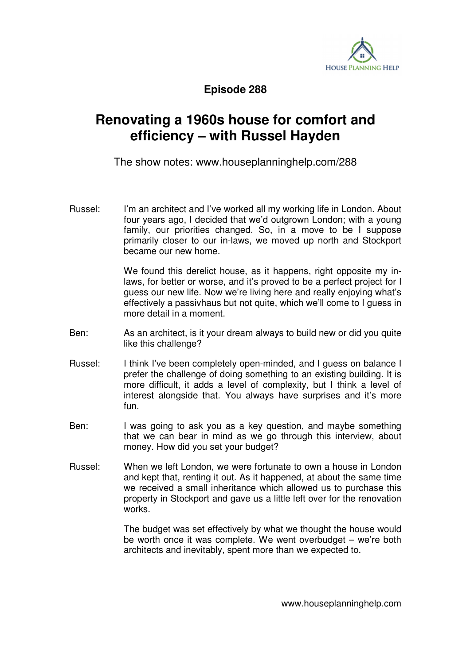

**Episode 288** 

## **Renovating a 1960s house for comfort and efficiency – with Russel Hayden**

The show notes: www.houseplanninghelp.com/288

Russel: I'm an architect and I've worked all my working life in London. About four years ago, I decided that we'd outgrown London; with a young family, our priorities changed. So, in a move to be I suppose primarily closer to our in-laws, we moved up north and Stockport became our new home.

> We found this derelict house, as it happens, right opposite my inlaws, for better or worse, and it's proved to be a perfect project for I guess our new life. Now we're living here and really enjoying what's effectively a passivhaus but not quite, which we'll come to I guess in more detail in a moment.

- Ben: As an architect, is it your dream always to build new or did you quite like this challenge?
- Russel: I think I've been completely open-minded, and I guess on balance I prefer the challenge of doing something to an existing building. It is more difficult, it adds a level of complexity, but I think a level of interest alongside that. You always have surprises and it's more fun.
- Ben: I was going to ask you as a key question, and maybe something that we can bear in mind as we go through this interview, about money. How did you set your budget?
- Russel: When we left London, we were fortunate to own a house in London and kept that, renting it out. As it happened, at about the same time we received a small inheritance which allowed us to purchase this property in Stockport and gave us a little left over for the renovation works.

 The budget was set effectively by what we thought the house would be worth once it was complete. We went overbudget – we're both architects and inevitably, spent more than we expected to.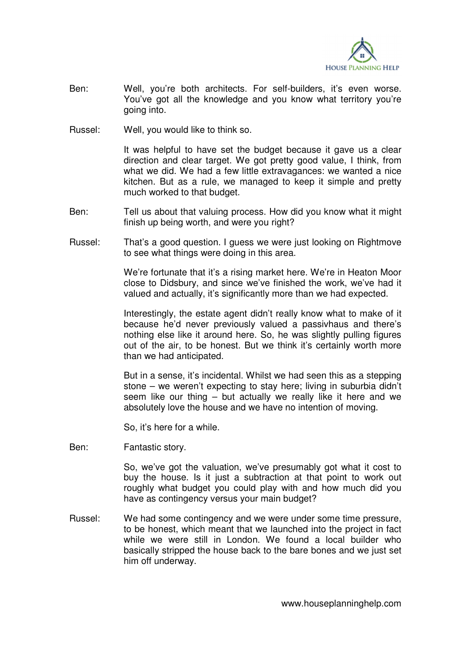

- Ben: Well, you're both architects. For self-builders, it's even worse. You've got all the knowledge and you know what territory you're going into.
- Russel: Well, you would like to think so.

 It was helpful to have set the budget because it gave us a clear direction and clear target. We got pretty good value, I think, from what we did. We had a few little extravagances: we wanted a nice kitchen. But as a rule, we managed to keep it simple and pretty much worked to that budget.

- Ben: Tell us about that valuing process. How did you know what it might finish up being worth, and were you right?
- Russel: That's a good question. I guess we were just looking on Rightmove to see what things were doing in this area.

 We're fortunate that it's a rising market here. We're in Heaton Moor close to Didsbury, and since we've finished the work, we've had it valued and actually, it's significantly more than we had expected.

 Interestingly, the estate agent didn't really know what to make of it because he'd never previously valued a passivhaus and there's nothing else like it around here. So, he was slightly pulling figures out of the air, to be honest. But we think it's certainly worth more than we had anticipated.

 But in a sense, it's incidental. Whilst we had seen this as a stepping stone – we weren't expecting to stay here; living in suburbia didn't seem like our thing – but actually we really like it here and we absolutely love the house and we have no intention of moving.

So, it's here for a while.

Ben: Fantastic story.

 So, we've got the valuation, we've presumably got what it cost to buy the house. Is it just a subtraction at that point to work out roughly what budget you could play with and how much did you have as contingency versus your main budget?

Russel: We had some contingency and we were under some time pressure, to be honest, which meant that we launched into the project in fact while we were still in London. We found a local builder who basically stripped the house back to the bare bones and we just set him off underway.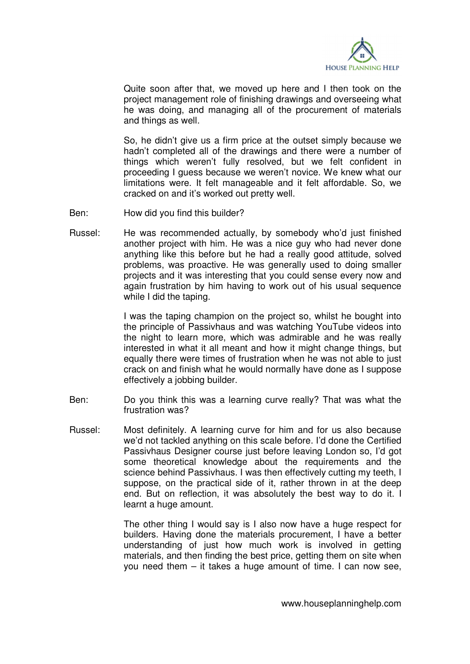

 Quite soon after that, we moved up here and I then took on the project management role of finishing drawings and overseeing what he was doing, and managing all of the procurement of materials and things as well.

 So, he didn't give us a firm price at the outset simply because we hadn't completed all of the drawings and there were a number of things which weren't fully resolved, but we felt confident in proceeding I guess because we weren't novice. We knew what our limitations were. It felt manageable and it felt affordable. So, we cracked on and it's worked out pretty well.

- Ben: How did you find this builder?
- Russel: He was recommended actually, by somebody who'd just finished another project with him. He was a nice guy who had never done anything like this before but he had a really good attitude, solved problems, was proactive. He was generally used to doing smaller projects and it was interesting that you could sense every now and again frustration by him having to work out of his usual sequence while I did the taping.

 I was the taping champion on the project so, whilst he bought into the principle of Passivhaus and was watching YouTube videos into the night to learn more, which was admirable and he was really interested in what it all meant and how it might change things, but equally there were times of frustration when he was not able to just crack on and finish what he would normally have done as I suppose effectively a jobbing builder.

- Ben: Do you think this was a learning curve really? That was what the frustration was?
- Russel: Most definitely. A learning curve for him and for us also because we'd not tackled anything on this scale before. I'd done the Certified Passivhaus Designer course just before leaving London so, I'd got some theoretical knowledge about the requirements and the science behind Passivhaus. I was then effectively cutting my teeth, I suppose, on the practical side of it, rather thrown in at the deep end. But on reflection, it was absolutely the best way to do it. I learnt a huge amount.

 The other thing I would say is I also now have a huge respect for builders. Having done the materials procurement, I have a better understanding of just how much work is involved in getting materials, and then finding the best price, getting them on site when you need them – it takes a huge amount of time. I can now see,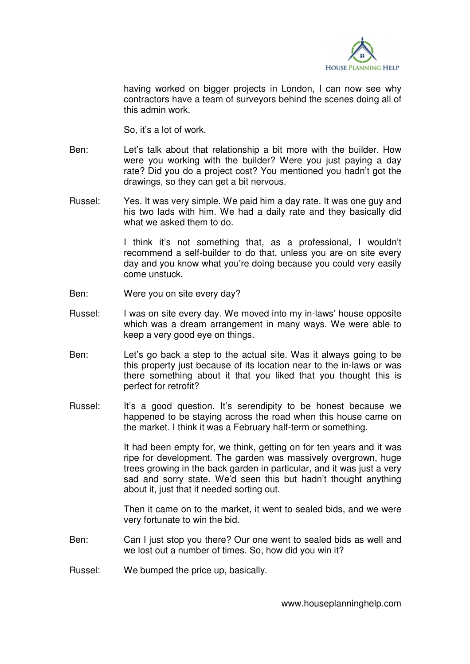

having worked on bigger projects in London, I can now see why contractors have a team of surveyors behind the scenes doing all of this admin work.

So, it's a lot of work.

- Ben: Let's talk about that relationship a bit more with the builder. How were you working with the builder? Were you just paying a day rate? Did you do a project cost? You mentioned you hadn't got the drawings, so they can get a bit nervous.
- Russel: Yes. It was very simple. We paid him a day rate. It was one guy and his two lads with him. We had a daily rate and they basically did what we asked them to do.

 I think it's not something that, as a professional, I wouldn't recommend a self-builder to do that, unless you are on site every day and you know what you're doing because you could very easily come unstuck.

- Ben: Were you on site every day?
- Russel: I was on site every day. We moved into my in-laws' house opposite which was a dream arrangement in many ways. We were able to keep a very good eye on things.
- Ben: Let's go back a step to the actual site. Was it always going to be this property just because of its location near to the in-laws or was there something about it that you liked that you thought this is perfect for retrofit?
- Russel: It's a good question. It's serendipity to be honest because we happened to be staying across the road when this house came on the market. I think it was a February half-term or something.

 It had been empty for, we think, getting on for ten years and it was ripe for development. The garden was massively overgrown, huge trees growing in the back garden in particular, and it was just a very sad and sorry state. We'd seen this but hadn't thought anything about it, just that it needed sorting out.

 Then it came on to the market, it went to sealed bids, and we were very fortunate to win the bid.

- Ben: Can I just stop you there? Our one went to sealed bids as well and we lost out a number of times. So, how did you win it?
- Russel: We bumped the price up, basically.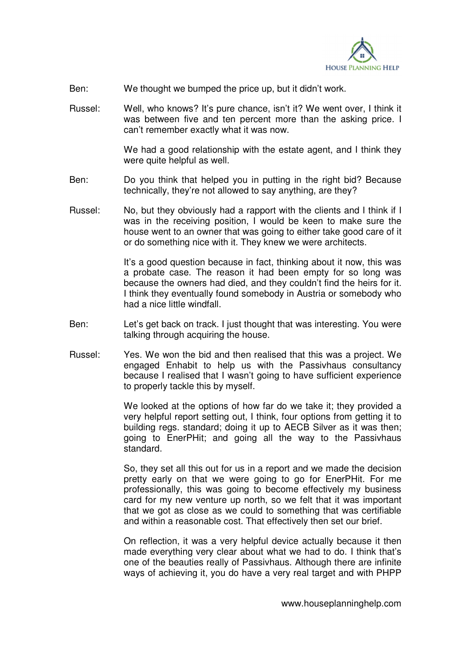

- Ben: We thought we bumped the price up, but it didn't work.
- Russel: Well, who knows? It's pure chance, isn't it? We went over, I think it was between five and ten percent more than the asking price. I can't remember exactly what it was now.

We had a good relationship with the estate agent, and I think they were quite helpful as well.

- Ben: Do you think that helped you in putting in the right bid? Because technically, they're not allowed to say anything, are they?
- Russel: No, but they obviously had a rapport with the clients and I think if I was in the receiving position, I would be keen to make sure the house went to an owner that was going to either take good care of it or do something nice with it. They knew we were architects.

 It's a good question because in fact, thinking about it now, this was a probate case. The reason it had been empty for so long was because the owners had died, and they couldn't find the heirs for it. I think they eventually found somebody in Austria or somebody who had a nice little windfall.

- Ben: Let's get back on track. I just thought that was interesting. You were talking through acquiring the house.
- Russel: Yes. We won the bid and then realised that this was a project. We engaged Enhabit to help us with the Passivhaus consultancy because I realised that I wasn't going to have sufficient experience to properly tackle this by myself.

 We looked at the options of how far do we take it; they provided a very helpful report setting out, I think, four options from getting it to building regs. standard; doing it up to AECB Silver as it was then; going to EnerPHit; and going all the way to the Passivhaus standard.

 So, they set all this out for us in a report and we made the decision pretty early on that we were going to go for EnerPHit. For me professionally, this was going to become effectively my business card for my new venture up north, so we felt that it was important that we got as close as we could to something that was certifiable and within a reasonable cost. That effectively then set our brief.

 On reflection, it was a very helpful device actually because it then made everything very clear about what we had to do. I think that's one of the beauties really of Passivhaus. Although there are infinite ways of achieving it, you do have a very real target and with PHPP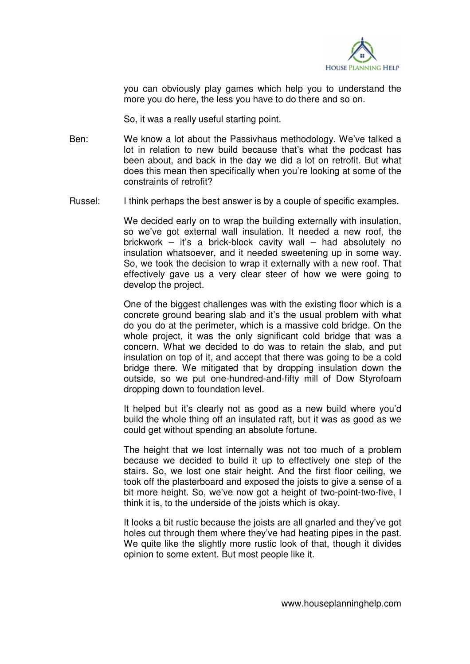

you can obviously play games which help you to understand the more you do here, the less you have to do there and so on.

So, it was a really useful starting point.

- Ben: We know a lot about the Passivhaus methodology. We've talked a lot in relation to new build because that's what the podcast has been about, and back in the day we did a lot on retrofit. But what does this mean then specifically when you're looking at some of the constraints of retrofit?
- Russel: I think perhaps the best answer is by a couple of specific examples.

We decided early on to wrap the building externally with insulation, so we've got external wall insulation. It needed a new roof, the brickwork – it's a brick-block cavity wall – had absolutely no insulation whatsoever, and it needed sweetening up in some way. So, we took the decision to wrap it externally with a new roof. That effectively gave us a very clear steer of how we were going to develop the project.

 One of the biggest challenges was with the existing floor which is a concrete ground bearing slab and it's the usual problem with what do you do at the perimeter, which is a massive cold bridge. On the whole project, it was the only significant cold bridge that was a concern. What we decided to do was to retain the slab, and put insulation on top of it, and accept that there was going to be a cold bridge there. We mitigated that by dropping insulation down the outside, so we put one-hundred-and-fifty mill of Dow Styrofoam dropping down to foundation level.

 It helped but it's clearly not as good as a new build where you'd build the whole thing off an insulated raft, but it was as good as we could get without spending an absolute fortune.

 The height that we lost internally was not too much of a problem because we decided to build it up to effectively one step of the stairs. So, we lost one stair height. And the first floor ceiling, we took off the plasterboard and exposed the joists to give a sense of a bit more height. So, we've now got a height of two-point-two-five, I think it is, to the underside of the joists which is okay.

 It looks a bit rustic because the joists are all gnarled and they've got holes cut through them where they've had heating pipes in the past. We quite like the slightly more rustic look of that, though it divides opinion to some extent. But most people like it.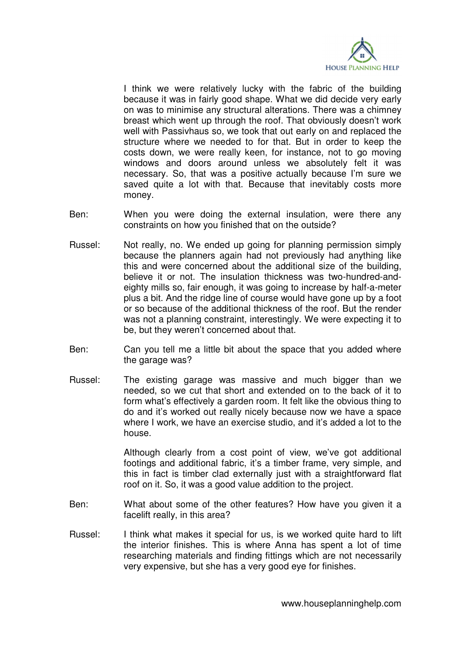

 I think we were relatively lucky with the fabric of the building because it was in fairly good shape. What we did decide very early on was to minimise any structural alterations. There was a chimney breast which went up through the roof. That obviously doesn't work well with Passivhaus so, we took that out early on and replaced the structure where we needed to for that. But in order to keep the costs down, we were really keen, for instance, not to go moving windows and doors around unless we absolutely felt it was necessary. So, that was a positive actually because I'm sure we saved quite a lot with that. Because that inevitably costs more money.

- Ben: When you were doing the external insulation, were there any constraints on how you finished that on the outside?
- Russel: Not really, no. We ended up going for planning permission simply because the planners again had not previously had anything like this and were concerned about the additional size of the building, believe it or not. The insulation thickness was two-hundred-andeighty mills so, fair enough, it was going to increase by half-a-meter plus a bit. And the ridge line of course would have gone up by a foot or so because of the additional thickness of the roof. But the render was not a planning constraint, interestingly. We were expecting it to be, but they weren't concerned about that.
- Ben: Can you tell me a little bit about the space that you added where the garage was?
- Russel: The existing garage was massive and much bigger than we needed, so we cut that short and extended on to the back of it to form what's effectively a garden room. It felt like the obvious thing to do and it's worked out really nicely because now we have a space where I work, we have an exercise studio, and it's added a lot to the house.

 Although clearly from a cost point of view, we've got additional footings and additional fabric, it's a timber frame, very simple, and this in fact is timber clad externally just with a straightforward flat roof on it. So, it was a good value addition to the project.

- Ben: What about some of the other features? How have you given it a facelift really, in this area?
- Russel: I think what makes it special for us, is we worked quite hard to lift the interior finishes. This is where Anna has spent a lot of time researching materials and finding fittings which are not necessarily very expensive, but she has a very good eye for finishes.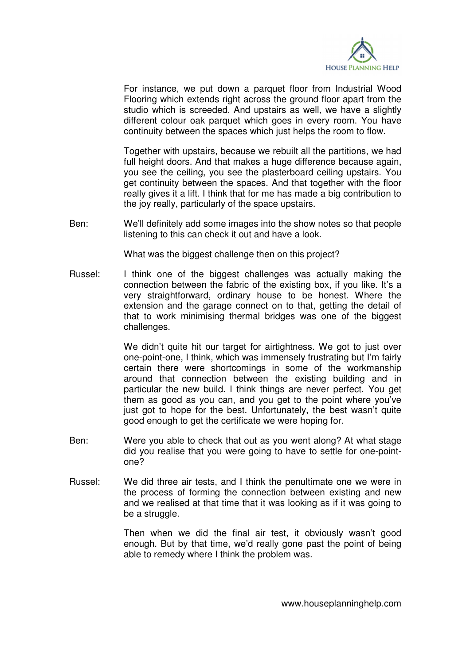

 For instance, we put down a parquet floor from Industrial Wood Flooring which extends right across the ground floor apart from the studio which is screeded. And upstairs as well, we have a slightly different colour oak parquet which goes in every room. You have continuity between the spaces which just helps the room to flow.

 Together with upstairs, because we rebuilt all the partitions, we had full height doors. And that makes a huge difference because again, you see the ceiling, you see the plasterboard ceiling upstairs. You get continuity between the spaces. And that together with the floor really gives it a lift. I think that for me has made a big contribution to the joy really, particularly of the space upstairs.

Ben: We'll definitely add some images into the show notes so that people listening to this can check it out and have a look.

What was the biggest challenge then on this project?

Russel: I think one of the biggest challenges was actually making the connection between the fabric of the existing box, if you like. It's a very straightforward, ordinary house to be honest. Where the extension and the garage connect on to that, getting the detail of that to work minimising thermal bridges was one of the biggest challenges.

> We didn't quite hit our target for airtightness. We got to just over one-point-one, I think, which was immensely frustrating but I'm fairly certain there were shortcomings in some of the workmanship around that connection between the existing building and in particular the new build. I think things are never perfect. You get them as good as you can, and you get to the point where you've just got to hope for the best. Unfortunately, the best wasn't quite good enough to get the certificate we were hoping for.

- Ben: Were you able to check that out as you went along? At what stage did you realise that you were going to have to settle for one-pointone?
- Russel: We did three air tests, and I think the penultimate one we were in the process of forming the connection between existing and new and we realised at that time that it was looking as if it was going to be a struggle.

 Then when we did the final air test, it obviously wasn't good enough. But by that time, we'd really gone past the point of being able to remedy where I think the problem was.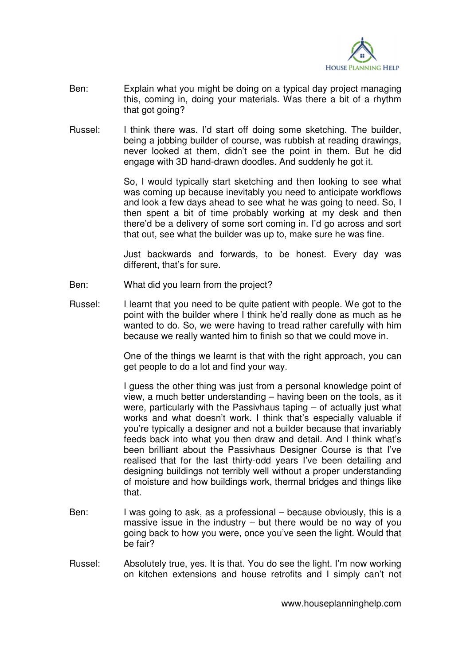

- Ben: Explain what you might be doing on a typical day project managing this, coming in, doing your materials. Was there a bit of a rhythm that got going?
- Russel: I think there was. I'd start off doing some sketching. The builder, being a jobbing builder of course, was rubbish at reading drawings, never looked at them, didn't see the point in them. But he did engage with 3D hand-drawn doodles. And suddenly he got it.

 So, I would typically start sketching and then looking to see what was coming up because inevitably you need to anticipate workflows and look a few days ahead to see what he was going to need. So, I then spent a bit of time probably working at my desk and then there'd be a delivery of some sort coming in. I'd go across and sort that out, see what the builder was up to, make sure he was fine.

 Just backwards and forwards, to be honest. Every day was different, that's for sure.

- Ben: What did you learn from the project?
- Russel: I learnt that you need to be quite patient with people. We got to the point with the builder where I think he'd really done as much as he wanted to do. So, we were having to tread rather carefully with him because we really wanted him to finish so that we could move in.

 One of the things we learnt is that with the right approach, you can get people to do a lot and find your way.

 I guess the other thing was just from a personal knowledge point of view, a much better understanding – having been on the tools, as it were, particularly with the Passivhaus taping – of actually just what works and what doesn't work. I think that's especially valuable if you're typically a designer and not a builder because that invariably feeds back into what you then draw and detail. And I think what's been brilliant about the Passivhaus Designer Course is that I've realised that for the last thirty-odd years I've been detailing and designing buildings not terribly well without a proper understanding of moisture and how buildings work, thermal bridges and things like that.

- Ben: I was going to ask, as a professional because obviously, this is a massive issue in the industry  $-$  but there would be no way of you going back to how you were, once you've seen the light. Would that be fair?
- Russel: Absolutely true, yes. It is that. You do see the light. I'm now working on kitchen extensions and house retrofits and I simply can't not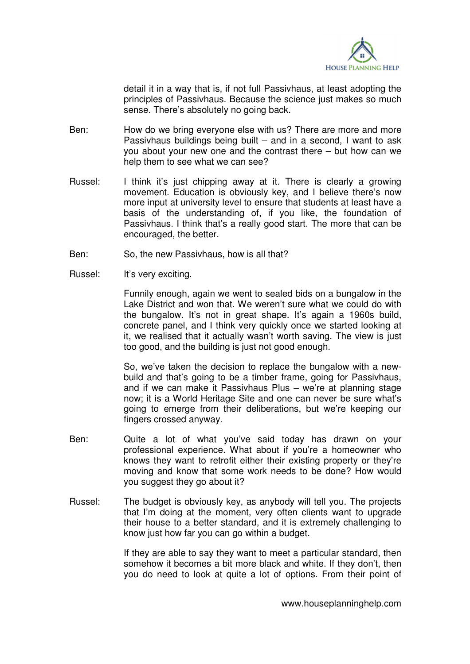

detail it in a way that is, if not full Passivhaus, at least adopting the principles of Passivhaus. Because the science just makes so much sense. There's absolutely no going back.

- Ben: How do we bring everyone else with us? There are more and more Passivhaus buildings being built – and in a second, I want to ask you about your new one and the contrast there – but how can we help them to see what we can see?
- Russel: I think it's just chipping away at it. There is clearly a growing movement. Education is obviously key, and I believe there's now more input at university level to ensure that students at least have a basis of the understanding of, if you like, the foundation of Passivhaus. I think that's a really good start. The more that can be encouraged, the better.
- Ben: So, the new Passivhaus, how is all that?
- Russel: It's very exciting.

 Funnily enough, again we went to sealed bids on a bungalow in the Lake District and won that. We weren't sure what we could do with the bungalow. It's not in great shape. It's again a 1960s build, concrete panel, and I think very quickly once we started looking at it, we realised that it actually wasn't worth saving. The view is just too good, and the building is just not good enough.

 So, we've taken the decision to replace the bungalow with a newbuild and that's going to be a timber frame, going for Passivhaus, and if we can make it Passivhaus Plus – we're at planning stage now; it is a World Heritage Site and one can never be sure what's going to emerge from their deliberations, but we're keeping our fingers crossed anyway.

- Ben: Quite a lot of what you've said today has drawn on your professional experience. What about if you're a homeowner who knows they want to retrofit either their existing property or they're moving and know that some work needs to be done? How would you suggest they go about it?
- Russel: The budget is obviously key, as anybody will tell you. The projects that I'm doing at the moment, very often clients want to upgrade their house to a better standard, and it is extremely challenging to know just how far you can go within a budget.

 If they are able to say they want to meet a particular standard, then somehow it becomes a bit more black and white. If they don't, then you do need to look at quite a lot of options. From their point of